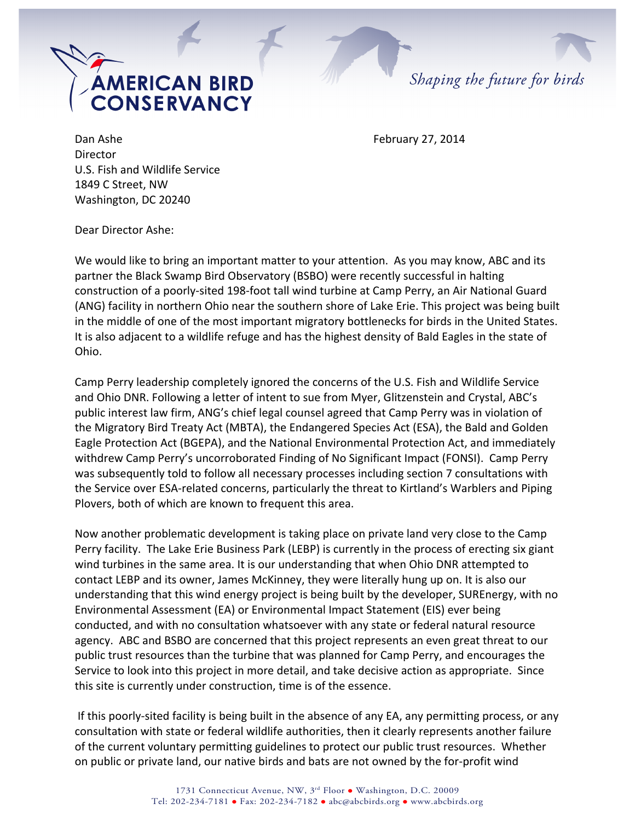



Dan Ashe **February 27, 2014** Director U.S. Fish and Wildlife Service 1849 C Street, NW Washington, DC 20240

Dear Director Ashe:

We would like to bring an important matter to your attention. As you may know, ABC and its partner the Black Swamp Bird Observatory (BSBO) were recently successful in halting construction of a poorly-sited 198-foot tall wind turbine at Camp Perry, an Air National Guard (ANG) facility in northern Ohio near the southern shore of Lake Erie. This project was being built in the middle of one of the most important migratory bottlenecks for birds in the United States. It is also adjacent to a wildlife refuge and has the highest density of Bald Eagles in the state of Ohio. 

Camp Perry leadership completely ignored the concerns of the U.S. Fish and Wildlife Service and Ohio DNR. Following a letter of intent to sue from Myer, Glitzenstein and Crystal, ABC's public interest law firm, ANG's chief legal counsel agreed that Camp Perry was in violation of the Migratory Bird Treaty Act (MBTA), the Endangered Species Act (ESA), the Bald and Golden Eagle Protection Act (BGEPA), and the National Environmental Protection Act, and immediately withdrew Camp Perry's uncorroborated Finding of No Significant Impact (FONSI). Camp Perry was subsequently told to follow all necessary processes including section 7 consultations with the Service over ESA-related concerns, particularly the threat to Kirtland's Warblers and Piping Plovers, both of which are known to frequent this area.

Now another problematic development is taking place on private land very close to the Camp Perry facility. The Lake Erie Business Park (LEBP) is currently in the process of erecting six giant wind turbines in the same area. It is our understanding that when Ohio DNR attempted to contact LEBP and its owner, James McKinney, they were literally hung up on. It is also our understanding that this wind energy project is being built by the developer, SUREnergy, with no Environmental Assessment (EA) or Environmental Impact Statement (EIS) ever being conducted, and with no consultation whatsoever with any state or federal natural resource agency. ABC and BSBO are concerned that this project represents an even great threat to our public trust resources than the turbine that was planned for Camp Perry, and encourages the Service to look into this project in more detail, and take decisive action as appropriate. Since this site is currently under construction, time is of the essence.

If this poorly-sited facility is being built in the absence of any EA, any permitting process, or any consultation with state or federal wildlife authorities, then it clearly represents another failure of the current voluntary permitting guidelines to protect our public trust resources. Whether on public or private land, our native birds and bats are not owned by the for-profit wind